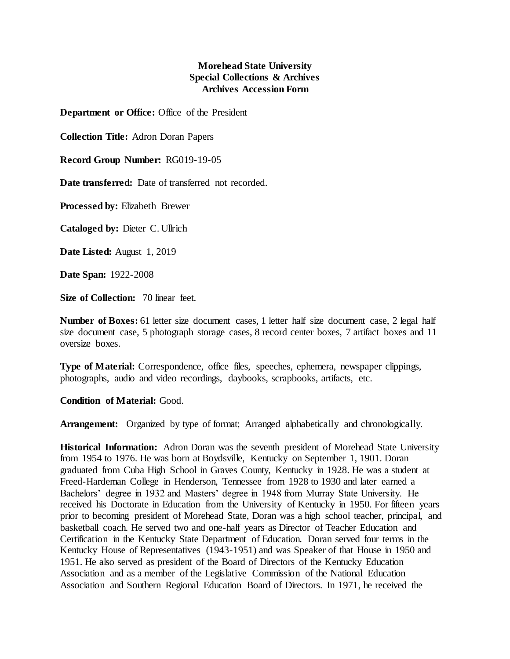## **Morehead State University Special Collections & Archives Archives Accession Form**

**Department or Office:** Office of the President

**Collection Title:** Adron Doran Papers

**Record Group Number:** RG019-19-05

**Date transferred:** Date of transferred not recorded.

**Processed by:** Elizabeth Brewer

**Cataloged by:** Dieter C. Ullrich

**Date Listed:** August 1, 2019

**Date Span:** 1922-2008

**Size of Collection:** 70 linear feet.

**Number of Boxes:** 61 letter size document cases, 1 letter half size document case, 2 legal half size document case, 5 photograph storage cases, 8 record center boxes, 7 artifact boxes and 11 oversize boxes.

**Type of Material:** Correspondence, office files, speeches, ephemera, newspaper clippings, photographs, audio and video recordings, daybooks, scrapbooks, artifacts, etc.

**Condition of Material:** Good.

**Arrangement:** Organized by type of format; Arranged alphabetically and chronologically.

**Historical Information:** Adron Doran was the seventh president of Morehead State University from 1954 to 1976. He was born at Boydsville, Kentucky on September 1, 1901. Doran graduated from Cuba High School in Graves County, Kentucky in 1928. He was a student at Freed-Hardeman College in Henderson, Tennessee from 1928 to 1930 and later earned a Bachelors' degree in 1932 and Masters' degree in 1948 from Murray State University. He received his Doctorate in Education from the University of Kentucky in 1950. For fifteen years prior to becoming president of Morehead State, Doran was a high school teacher, principal, and basketball coach. He served two and one-half years as Director of Teacher Education and Certification in the Kentucky State Department of Education. Doran served four terms in the Kentucky House of Representatives (1943-1951) and was Speaker of that House in 1950 and 1951. He also served as president of the Board of Directors of the Kentucky Education Association and as a member of the Legislative Commission of the National Education Association and Southern Regional Education Board of Directors. In 1971, he received the